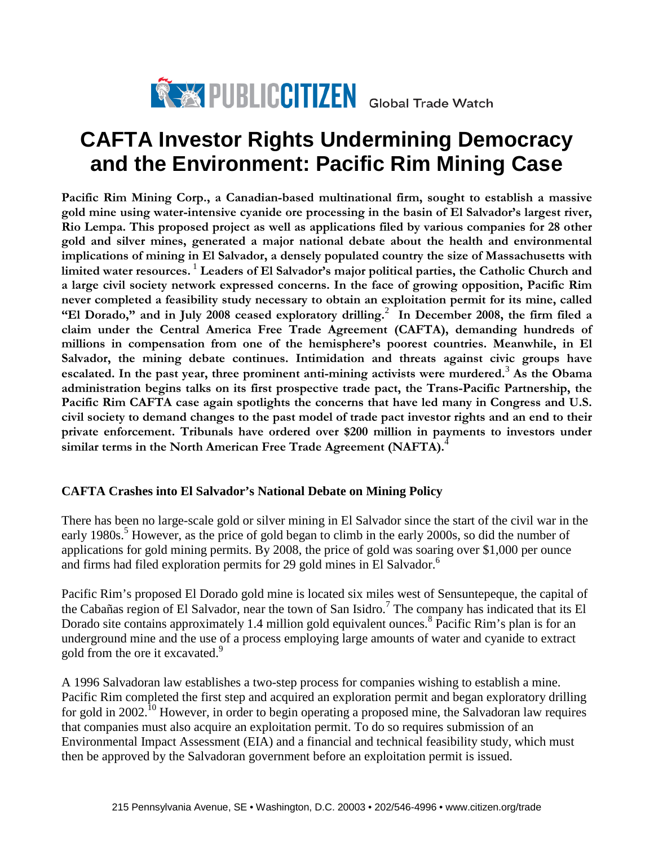

# **CAFTA Investor Rights Undermining Democracy and the Environment: Pacific Rim Mining Case**

**Pacific Rim Mining Corp., a Canadian-based multinational firm, sought to establish a massive gold mine using water-intensive cyanide ore processing in the basin of El Salvador's largest river, Rio Lempa. This proposed project as well as applications filed by various companies for 28 other gold and silver mines, generated a major national debate about the health and environmental implications of mining in El Salvador, a densely populated country the size of Massachusetts with limited water resources.** [1](#page-9-0) **Leaders of El Salvador's major political parties, the Catholic Church and a large civil society network expressed concerns. In the face of growing opposition, Pacific Rim never completed a feasibility study necessary to obtain an exploitation permit for its mine, called "El Dorado," and in July 2008 ceased exploratory drilling.**[2](#page-9-1) **In December 2008, the firm filed a claim under the Central America Free Trade Agreement (CAFTA), demanding hundreds of millions in compensation from one of the hemisphere's poorest countries. Meanwhile, in El Salvador, the mining debate continues. Intimidation and threats against civic groups have escalated. In the past year, three prominent anti-mining activists were murdered.**[3](#page-9-2) **As the Obama administration begins talks on its first prospective trade pact, the Trans-Pacific Partnership, the Pacific Rim CAFTA case again spotlights the concerns that have led many in Congress and U.S. civil society to demand changes to the past model of trade pact investor rights and an end to their private enforcement. Tribunals have ordered over \$200 million in payments to investors under similar terms in the North American Free Trade Agreement (NAFTA).**[4](#page-9-3)

## **CAFTA Crashes into El Salvador's National Debate on Mining Policy**

There has been no large-scale gold or silver mining in El Salvador since the start of the civil war in the early 1980s.<sup>[5](#page-9-4)</sup> However, as the price of gold began to climb in the early 2000s, so did the number of applications for gold mining permits. By 2008, the price of gold was soaring over \$1,000 per ounce and firms had filed exploration permits for 29 gold mines in El Salvador.<sup>[6](#page-9-5)</sup>

Pacific Rim's proposed El Dorado gold mine is located six miles west of Sensuntepeque, the capital of the Cabañas region of El Salvador, near the town of San Isidro.<sup>[7](#page-9-6)</sup> The company has indicated that its El Dorado site contains approximately 1.4 million gold equivalent ounces.<sup>[8](#page-9-7)</sup> Pacific Rim's plan is for an underground mine and the use of a process employing large amounts of water and cyanide to extract gold from the ore it excavated. [9](#page-9-8)

A 1996 Salvadoran law establishes a two-step process for companies wishing to establish a mine. Pacific Rim completed the first step and acquired an exploration permit and began exploratory drilling for gold in 2002.<sup>[10](#page-9-9)</sup> However, in order to begin operating a proposed mine, the Salvadoran law requires that companies must also acquire an exploitation permit. To do so requires submission of an Environmental Impact Assessment (EIA) and a financial and technical feasibility study, which must then be approved by the Salvadoran government before an exploitation permit is issued.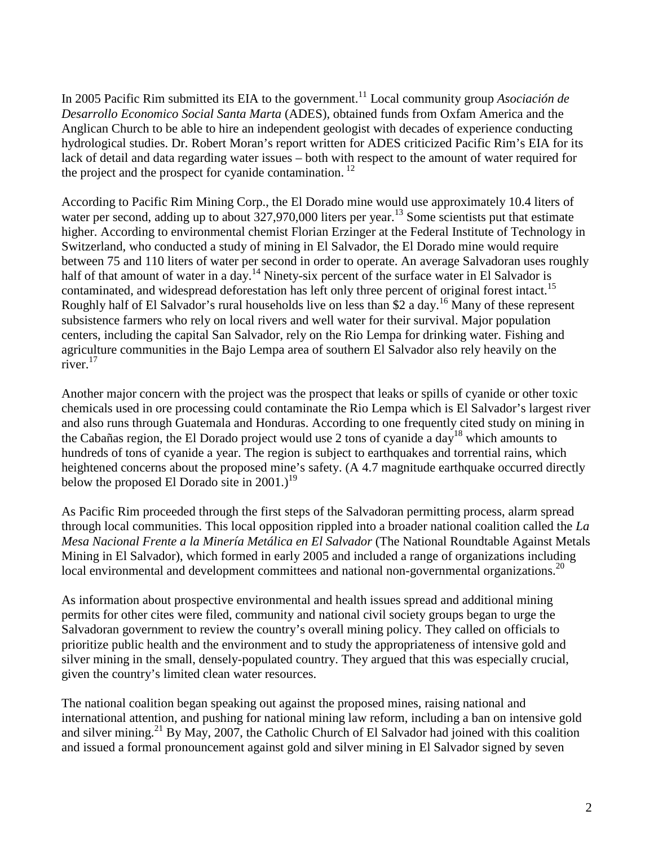In 2005 Pacific Rim submitted its EIA to the government.<sup>[11](#page-9-10)</sup> Local community group *Asociación de Desarrollo Economico Social Santa Marta* (ADES), obtained funds from Oxfam America and the Anglican Church to be able to hire an independent geologist with decades of experience conducting hydrological studies. Dr. Robert Moran's report written for ADES criticized Pacific Rim's EIA for its lack of detail and data regarding water issues – both with respect to the amount of water required for the project and the prospect for cyanide contamination.<sup>[12](#page-9-11)</sup>

According to Pacific Rim Mining Corp., the El Dorado mine would use approximately 10.4 liters of waterper second, adding up to about 327,970,000 liters per year.<sup>13</sup> Some scientists put that estimate higher. According to environmental chemist Florian Erzinger at the Federal Institute of Technology in Switzerland, who conducted a study of mining in El Salvador, the El Dorado mine would require between 75 and 110 liters of water per second in order to operate. An average Salvadoran uses roughly halfof that amount of water in a day.<sup>14</sup> Ninety-six percent of the surface water in El Salvador is contaminated, and widespread deforestation has left only three percent of original forest intact.<sup>[15](#page-9-14)</sup> Roughly half of El Salvador's rural households live on less than \$2 a day.<sup>[16](#page-9-15)</sup> Many of these represent subsistence farmers who rely on local rivers and well water for their survival. Major population centers, including the capital San Salvador, rely on the Rio Lempa for drinking water. Fishing and agriculture communities in the Bajo Lempa area of southern El Salvador also rely heavily on the river. [17](#page-9-16)

Another major concern with the project was the prospect that leaks or spills of cyanide or other toxic chemicals used in ore processing could contaminate the Rio Lempa which is El Salvador's largest river and also runs through Guatemala and Honduras. According to one frequently cited study on mining in theCabañas region, the El Dorado project would use 2 tons of c[y](#page-9-17)anide a day<sup>18</sup> which amounts to hundreds of tons of cyanide a year. The region is subject to earthquakes and torrential rains, which heightened concerns about the proposed mine's safety. (A 4.7 magnitude earthquake occurred directly below the proposed El Dorado site in 2001.)<sup>[19](#page-9-18)</sup>

As Pacific Rim proceeded through the first steps of the Salvadoran permitting process, alarm spread through local communities. This local opposition rippled into a broader national coalition called the *La Mesa Nacional Frente a la Minería Metálica en El Salvador* (The National Roundtable Against Metals Mining in El Salvador), which formed in early 2005 and included a range of organizations including local environmental and development committees and national non-governmental organizations.<sup>[20](#page-9-19)</sup>

As information about prospective environmental and health issues spread and additional mining permits for other cites were filed, community and national civil society groups began to urge the Salvadoran government to review the country's overall mining policy. They called on officials to prioritize public health and the environment and to study the appropriateness of intensive gold and silver mining in the small, densely-populated country. They argued that this was especially crucial, given the country's limited clean water resources.

The national coalition began speaking out against the proposed mines, raising national and international attention, and pushing for national mining law reform, including a ban on intensive gold and silver mining.<sup>[21](#page-9-20)</sup> By May, 2007, the Catholic Church of El Salvador had joined with this coalition and issued a formal pronouncement against gold and silver mining in El Salvador signed by seven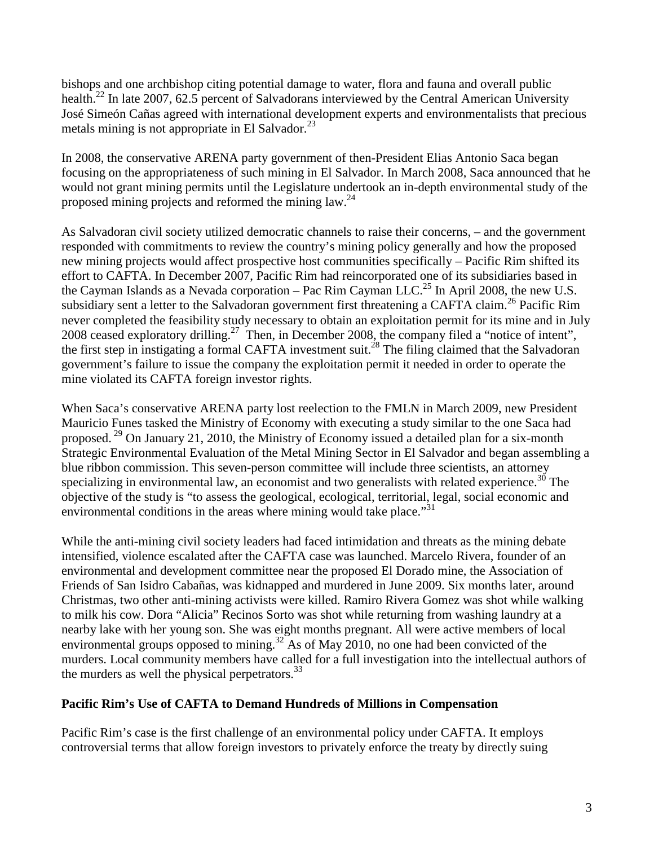bishops and one archbishop citing potential damage to water, flora and fauna and overall public health.<sup>[22](#page-9-21)</sup> In late 2007, 62.5 percent of Salvadorans interviewed by the Central American University José Simeón Cañas agreed with international development experts and environmentalists that precious metals mining is not appropriate in El Salvador. $^{23}$  $^{23}$  $^{23}$ 

In 2008, the conservative ARENA party government of then-President Elias Antonio Saca began focusing on the appropriateness of such mining in El Salvador. In March 2008, Saca announced that he would not grant mining permits until the Legislature undertook an in-depth environmental study of the proposedmining projects and reformed the mining law.<sup>24</sup>

As Salvadoran civil society utilized democratic channels to raise their concerns, – and the government responded with commitments to review the country's mining policy generally and how the proposed new mining projects would affect prospective host communities specifically – Pacific Rim shifted its effort to CAFTA. In December 2007, Pacific Rim had reincorporated one of its subsidiaries based in the Cayman Islands as a Nevada corporation – Pac Rim Cayman LLC.<sup>[25](#page-9-24)</sup> In April 2008, the new U.S. subsidiary sent a letter to the Salvadoran government first threatening a CAFTA claim.<sup>[26](#page-9-25)</sup> Pacific Rim never completed the feasibility study necessary to obtain an exploitation permit for its mine and in July 2008 ceased exploratory drilling.<sup>[27](#page-9-26)</sup> Then, in December 2008, the company filed a "notice of intent", thefirst step in instigating a formal CAFTA investment suit.<sup>28</sup> The filing claimed that the Salvadoran government's failure to issue the company the exploitation permit it needed in order to operate the mine violated its CAFTA foreign investor rights.

When Saca's conservative ARENA party lost reelection to the FMLN in March 2009, new President Mauricio Funes tasked the Ministry of Economy with executing a study similar to the one Saca had proposed.<sup>[29](#page-9-28)</sup> On January 21, 2010, the Ministry of Economy issued a detailed plan for a six-month Strategic Environmental Evaluation of the Metal Mining Sector in El Salvador and began assembling a blue ribbon commission. This seven-person committee will include three scientists, an attorney specializing in environmental law, an economist and two generalists with related experience.<sup>[30](#page-9-29)</sup> The objective of the study is "to assess the geological, ecological, territorial, legal, social economic and environmental conditions in the areas where mining would take place.<sup>"[31](#page-9-30)</sup>

While the anti-mining civil society leaders had faced intimidation and threats as the mining debate intensified, violence escalated after the CAFTA case was launched. Marcelo Rivera, founder of an environmental and development committee near the proposed El Dorado mine, the Association of Friends of San Isidro Cabañas, was kidnapped and murdered in June 2009. Six months later, around Christmas, two other anti-mining activists were killed. Ramiro Rivera Gomez was shot while walking to milk his cow. Dora "Alicia" Recinos Sorto was shot while returning from washing laundry at a nearby lake with her young son. She was eight months pregnant. All were active members of local environmental groups opposed to mining.<sup>[32](#page-9-31)</sup> As of May 2010, no one had been convicted of the murders. Local community members have called for a full investigation into the intellectual authors of the murders as well the physical perpetrators. $^{33}$  $^{33}$  $^{33}$ 

## **Pacific Rim's Use of CAFTA to Demand Hundreds of Millions in Compensation**

Pacific Rim's case is the first challenge of an environmental policy under CAFTA. It employs controversial terms that allow foreign investors to privately enforce the treaty by directly suing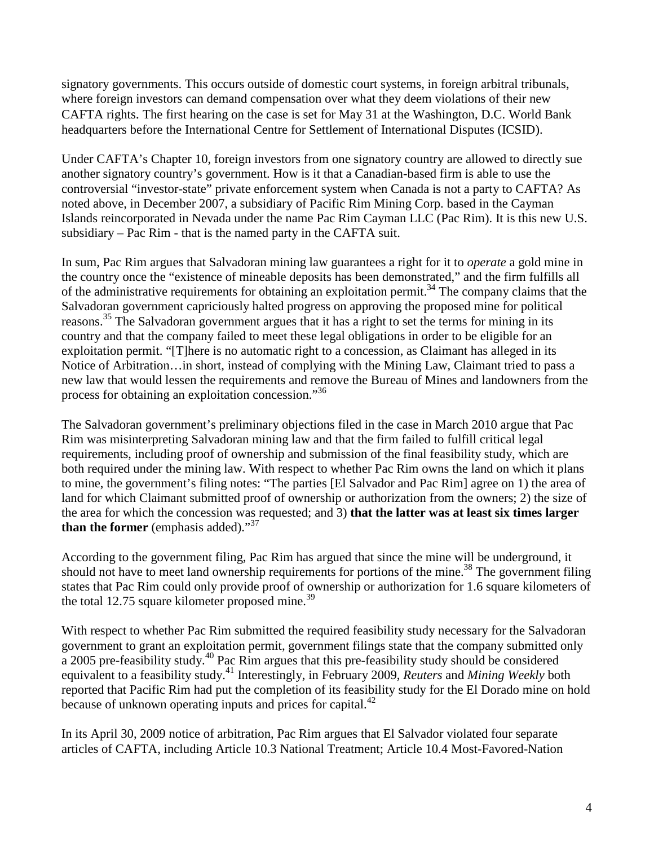signatory governments. This occurs outside of domestic court systems, in foreign arbitral tribunals, where foreign investors can demand compensation over what they deem violations of their new CAFTA rights. The first hearing on the case is set for May 31 at the Washington, D.C. World Bank headquarters before the International Centre for Settlement of International Disputes (ICSID).

Under CAFTA's Chapter 10, foreign investors from one signatory country are allowed to directly sue another signatory country's government. How is it that a Canadian-based firm is able to use the controversial "investor-state" private enforcement system when Canada is not a party to CAFTA? As noted above, in December 2007, a subsidiary of Pacific Rim Mining Corp. based in the Cayman Islands reincorporated in Nevada under the name Pac Rim Cayman LLC (Pac Rim). It is this new U.S. subsidiary – Pac Rim - that is the named party in the CAFTA suit.

In sum, Pac Rim argues that Salvadoran mining law guarantees a right for it to *operate* a gold mine in the country once the "existence of mineable deposits has been demonstrated," and the firm fulfills all of the administrative requirements for obtaining an exploitation permit.[34](#page-9-33) The company claims that the Salvadoran government capriciously halted progress on approving the proposed mine for political reasons. [35](#page-9-34) The Salvadoran government argues that it has a right to set the terms for mining in its country and that the company failed to meet these legal obligations in order to be eligible for an exploitation permit. "[T]here is no automatic right to a concession, as Claimant has alleged in its Notice of Arbitration…in short, instead of complying with the Mining Law, Claimant tried to pass a new law that would lessen the requirements and remove the Bureau of Mines and landowners from the process for obtaining an exploitation concession."[36](#page-9-35)

The Salvadoran government's preliminary objections filed in the case in March 2010 argue that Pac Rim was misinterpreting Salvadoran mining law and that the firm failed to fulfill critical legal requirements, including proof of ownership and submission of the final feasibility study, which are both required under the mining law. With respect to whether Pac Rim owns the land on which it plans to mine, the government's filing notes: "The parties [El Salvador and Pac Rim] agree on 1) the area of land for which Claimant submitted proof of ownership or authorization from the owners; 2) the size of the area for which the concession was requested; and 3) **that the latter was at least six times larger than the former** (emphasis added)."<sup>[37](#page-9-36)</sup>

According to the government filing, Pac Rim has argued that since the mine will be underground, it should not have to meet land ownership requirements for portions of the mine.<sup>[38](#page-9-37)</sup> The government filing states that Pac Rim could only provide proof of ownership or authorization for 1.6 square kilometers of the total 12.75 square kilometer proposed mine.<sup>[39](#page-9-38)</sup>

With respect to whether Pac Rim submitted the required feasibility study necessary for the Salvadoran government to grant an exploitation permit, government filings state that the company submitted only a 2005 pre-feasibility study.<sup>[40](#page-9-39)</sup> Pac Rim argues that this pre-feasibility study should be considered equivalent to a feasibility study.[41](#page-9-40) Interestingly, in February 2009, *Reuters* and *Mining Weekly* both reported that Pacific Rim had put the completion of its feasibility study for the El Dorado mine on hold because of unknown operating inputs and prices for capital. $^{42}$  $^{42}$  $^{42}$ 

In its April 30, 2009 notice of arbitration, Pac Rim argues that El Salvador violated four separate articles of CAFTA, including Article 10.3 National Treatment; Article 10.4 Most-Favored-Nation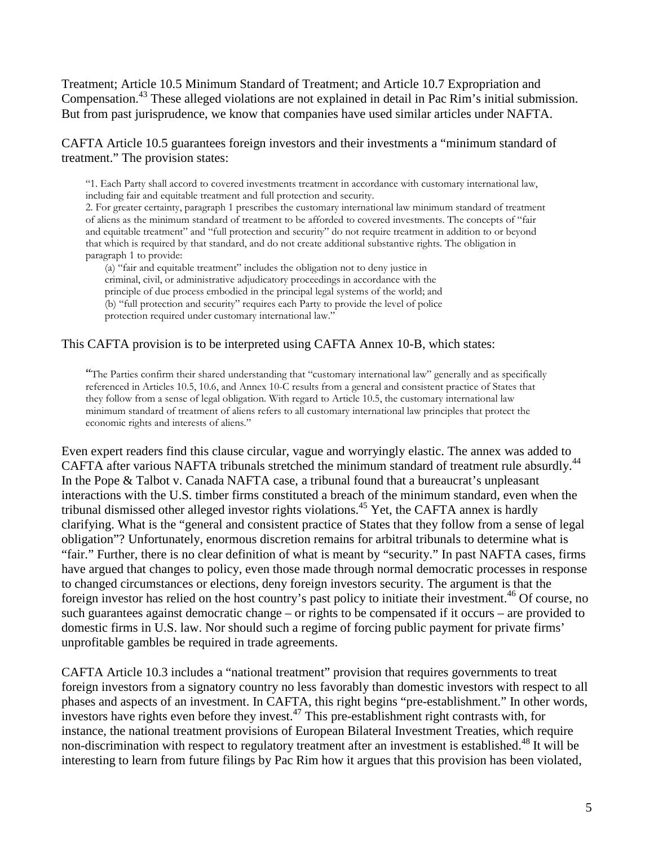Treatment; Article 10.5 Minimum Standard of Treatment; and Article 10.7 Expropriation and Compensation.<sup>[43](#page-9-17)</sup> These alleged violations are not explained in detail in Pac Rim's initial submission. But from past jurisprudence, we know that companies have used similar articles under NAFTA.

CAFTA Article 10.5 guarantees foreign investors and their investments a "minimum standard of treatment." The provision states:

"1. Each Party shall accord to covered investments treatment in accordance with customary international law, including fair and equitable treatment and full protection and security.

2. For greater certainty, paragraph 1 prescribes the customary international law minimum standard of treatment of aliens as the minimum standard of treatment to be afforded to covered investments. The concepts of "fair and equitable treatment" and "full protection and security" do not require treatment in addition to or beyond that which is required by that standard, and do not create additional substantive rights. The obligation in paragraph 1 to provide:

(a) "fair and equitable treatment" includes the obligation not to deny justice in criminal, civil, or administrative adjudicatory proceedings in accordance with the principle of due process embodied in the principal legal systems of the world; and (b) "full protection and security" requires each Party to provide the level of police protection required under customary international law."

#### This CAFTA provision is to be interpreted using CAFTA Annex 10-B, which states:

"The Parties confirm their shared understanding that "customary international law" generally and as specifically referenced in Articles 10.5, 10.6, and Annex 10-C results from a general and consistent practice of States that they follow from a sense of legal obligation. With regard to Article 10.5, the customary international law minimum standard of treatment of aliens refers to all customary international law principles that protect the economic rights and interests of aliens."

Even expert readers find this clause circular, vague and worryingly elastic. The annex was added to CAFTA after various NAFTA tribunals stretched the minimum standard of treatment rule absurdly.<sup>[44](#page-9-42)</sup> In the Pope & Talbot v. Canada NAFTA case, a tribunal found that a bureaucrat's unpleasant interactions with the U.S. timber firms constituted a breach of the minimum standard, even when the tribunal dismissed other alleged investor rights violations.<sup>[45](#page-9-19)</sup> Yet, the CAFTA annex is hardly clarifying. What is the "general and consistent practice of States that they follow from a sense of legal obligation"? Unfortunately, enormous discretion remains for arbitral tribunals to determine what is "fair." Further, there is no clear definition of what is meant by "security." In past NAFTA cases, firms have argued that changes to policy, even those made through normal democratic processes in response to changed circumstances or elections, deny foreign investors security. The argument is that the foreign investor has relied on the host country's past policy to initiate their investment.<sup>[46](#page-9-20)</sup> Of course, no such guarantees against democratic change – or rights to be compensated if it occurs – are provided to domestic firms in U.S. law. Nor should such a regime of forcing public payment for private firms' unprofitable gambles be required in trade agreements.

CAFTA Article 10.3 includes a "national treatment" provision that requires governments to treat foreign investors from a signatory country no less favorably than domestic investors with respect to all phases and aspects of an investment. In CAFTA, this right begins "pre-establishment." In other words, investors have rights even before they invest.<sup>[47](#page-9-43)</sup> This pre-establishment right contrasts with, for instance, the national treatment provisions of European Bilateral Investment Treaties, which require non-discrimination with respect to regulatory treatment after an investment is established.<sup>[48](#page-9-23)</sup> It will be interesting to learn from future filings by Pac Rim how it argues that this provision has been violated,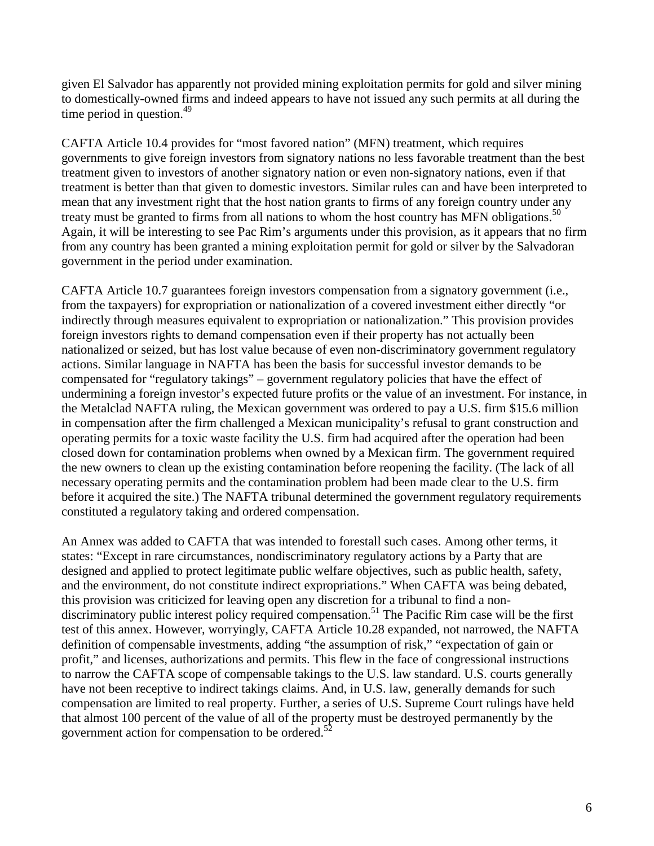given El Salvador has apparently not provided mining exploitation permits for gold and silver mining to domestically-owned firms and indeed appears to have not issued any such permits at all during the time period in question. $49$ 

CAFTA Article 10.4 provides for "most favored nation" (MFN) treatment, which requires governments to give foreign investors from signatory nations no less favorable treatment than the best treatment given to investors of another signatory nation or even non-signatory nations, even if that treatment is better than that given to domestic investors. Similar rules can and have been interpreted to mean that any investment right that the host nation grants to firms of any foreign country under any treaty must be granted to firms from all nations to whom the host country has MFN obligations.<sup>[50](#page-9-44)</sup> Again, it will be interesting to see Pac Rim's arguments under this provision, as it appears that no firm from any country has been granted a mining exploitation permit for gold or silver by the Salvadoran government in the period under examination.

CAFTA Article 10.7 guarantees foreign investors compensation from a signatory government (i.e., from the taxpayers) for expropriation or nationalization of a covered investment either directly "or indirectly through measures equivalent to expropriation or nationalization." This provision provides foreign investors rights to demand compensation even if their property has not actually been nationalized or seized, but has lost value because of even non-discriminatory government regulatory actions. Similar language in NAFTA has been the basis for successful investor demands to be compensated for "regulatory takings" – government regulatory policies that have the effect of undermining a foreign investor's expected future profits or the value of an investment. For instance, in the Metalclad NAFTA ruling, the Mexican government was ordered to pay a U.S. firm \$15.6 million in compensation after the firm challenged a Mexican municipality's refusal to grant construction and operating permits for a toxic waste facility the U.S. firm had acquired after the operation had been closed down for contamination problems when owned by a Mexican firm. The government required the new owners to clean up the existing contamination before reopening the facility. (The lack of all necessary operating permits and the contamination problem had been made clear to the U.S. firm before it acquired the site.) The NAFTA tribunal determined the government regulatory requirements constituted a regulatory taking and ordered compensation.

An Annex was added to CAFTA that was intended to forestall such cases. Among other terms, it states: "Except in rare circumstances, nondiscriminatory regulatory actions by a Party that are designed and applied to protect legitimate public welfare objectives, such as public health, safety, and the environment, do not constitute indirect expropriations." When CAFTA was being debated, this provision was criticized for leaving open any discretion for a tribunal to find a non-discriminatory public interest policy required compensation.<sup>[51](#page-9-45)</sup> The Pacific Rim case will be the first test of this annex. However, worryingly, CAFTA Article 10.28 expanded, not narrowed, the NAFTA definition of compensable investments, adding "the assumption of risk," "expectation of gain or profit," and licenses, authorizations and permits. This flew in the face of congressional instructions to narrow the CAFTA scope of compensable takings to the U.S. law standard. U.S. courts generally have not been receptive to indirect takings claims. And, in U.S. law, generally demands for such compensation are limited to real property. Further, a series of U.S. Supreme Court rulings have held that almost 100 percent of the value of all of the property must be destroyed permanently by the government action for compensation to be ordered.<sup>[52](#page-9-29)</sup>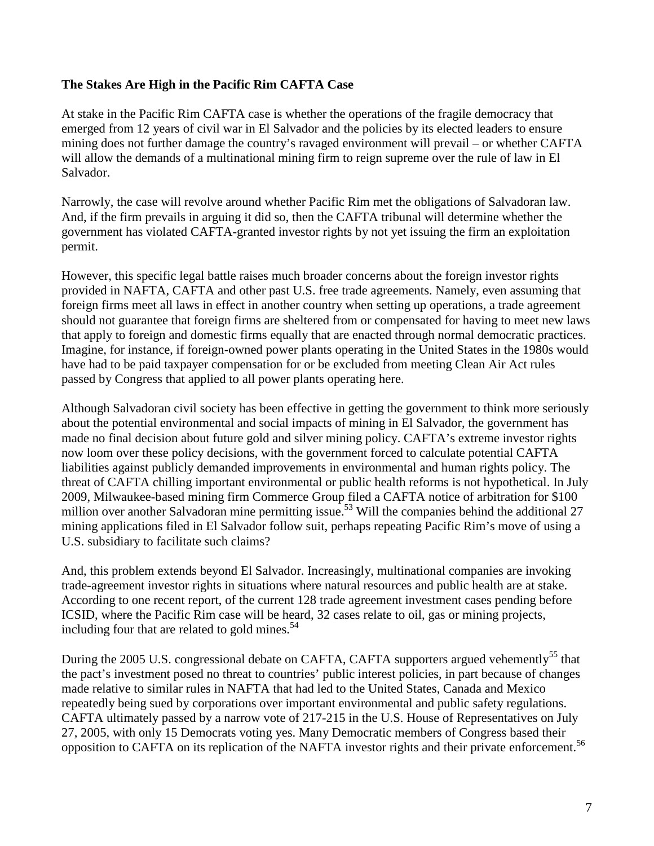## **The Stakes Are High in the Pacific Rim CAFTA Case**

At stake in the Pacific Rim CAFTA case is whether the operations of the fragile democracy that emerged from 12 years of civil war in El Salvador and the policies by its elected leaders to ensure mining does not further damage the country's ravaged environment will prevail – or whether CAFTA will allow the demands of a multinational mining firm to reign supreme over the rule of law in El Salvador.

Narrowly, the case will revolve around whether Pacific Rim met the obligations of Salvadoran law. And, if the firm prevails in arguing it did so, then the CAFTA tribunal will determine whether the government has violated CAFTA-granted investor rights by not yet issuing the firm an exploitation permit.

However, this specific legal battle raises much broader concerns about the foreign investor rights provided in NAFTA, CAFTA and other past U.S. free trade agreements. Namely, even assuming that foreign firms meet all laws in effect in another country when setting up operations, a trade agreement should not guarantee that foreign firms are sheltered from or compensated for having to meet new laws that apply to foreign and domestic firms equally that are enacted through normal democratic practices. Imagine, for instance, if foreign-owned power plants operating in the United States in the 1980s would have had to be paid taxpayer compensation for or be excluded from meeting Clean Air Act rules passed by Congress that applied to all power plants operating here.

Although Salvadoran civil society has been effective in getting the government to think more seriously about the potential environmental and social impacts of mining in El Salvador, the government has made no final decision about future gold and silver mining policy. CAFTA's extreme investor rights now loom over these policy decisions, with the government forced to calculate potential CAFTA liabilities against publicly demanded improvements in environmental and human rights policy. The threat of CAFTA chilling important environmental or public health reforms is not hypothetical. In July 2009, Milwaukee-based mining firm Commerce Group filed a CAFTA notice of arbitration for \$100 million over another Salvadoran mine permitting issue.<sup>[53](#page-9-30)</sup> Will the companies behind the additional 27 mining applications filed in El Salvador follow suit, perhaps repeating Pacific Rim's move of using a U.S. subsidiary to facilitate such claims?

And, this problem extends beyond El Salvador. Increasingly, multinational companies are invoking trade-agreement investor rights in situations where natural resources and public health are at stake. According to one recent report, of the current 128 trade agreement investment cases pending before ICSID, where the Pacific Rim case will be heard, 32 cases relate to oil, gas or mining projects, including four that are related to gold mines. $54$ 

During the 2005 U.S. congressional debate on CAFTA, CAFTA supporters argued vehemently<sup>[55](#page-9-32)</sup> that the pact's investment posed no threat to countries' public interest policies, in part because of changes made relative to similar rules in NAFTA that had led to the United States, Canada and Mexico repeatedly being sued by corporations over important environmental and public safety regulations. CAFTA ultimately passed by a narrow vote of 217-215 in the U.S. House of Representatives on July 27, 2005, with only 15 Democrats voting yes. Many Democratic members of Congress based their opposition to CAFTA on its replication of the NAFTA investor rights and their private enforcement.<sup>[56](#page-9-47)</sup>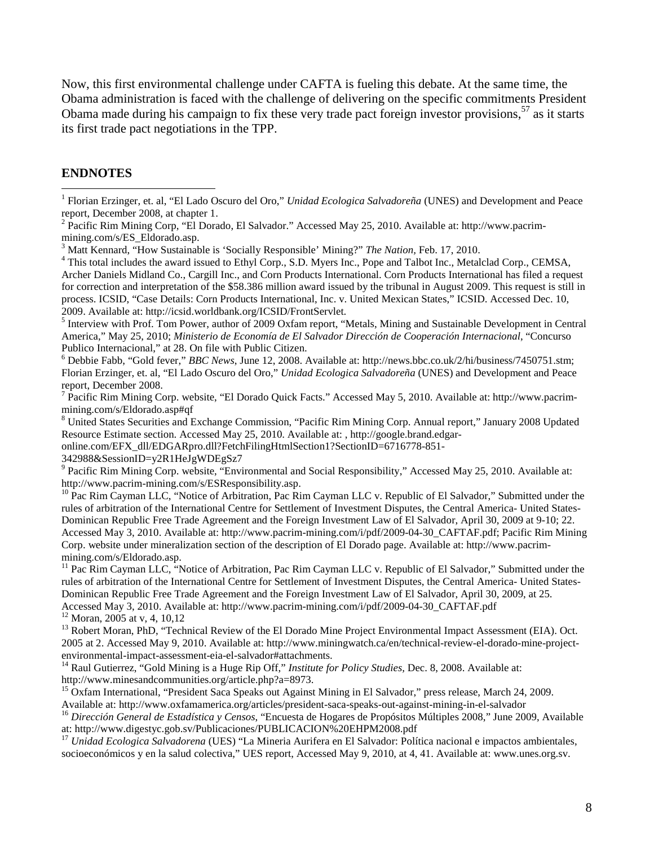Now, this first environmental challenge under CAFTA is fueling this debate. At the same time, the Obama administration is faced with the challenge of delivering on the specific commitments President Obama made during his campaign to fix these very trade pact foreign investor provisions,<sup>[57](#page-9-37)</sup> as it starts its first trade pact negotiations in the TPP.

### **ENDNOTES**

<sup>1</sup> Florian Erzinger, et. al, "El Lado Oscuro del Oro," *Unidad Ecologica Salvadoreña* (UNES) and Development and Peace report, December 2008, at chapter 1.

<sup>2</sup> Pacific Rim Mining Corp, "El Dorado, El Salvador." Accessed May 25, 2010. Available at: http://www.pacrimmining.com/s/ES\_Eldorado.asp.

<sup>3</sup> Matt Kennard, "How Sustainable is 'Socially Responsible' Mining?" *The Nation,* Feb. 17, 2010.

<sup>4</sup> This total includes the award issued to Ethyl Corp., S.D. Myers Inc., Pope and Talbot Inc., Metalclad Corp., CEMSA, Archer Daniels Midland Co., Cargill Inc., and Corn Products International. Corn Products International has filed a request for correction and interpretation of the \$58.386 million award issued by the tribunal in August 2009. This request is still in process. ICSID, "Case Details: Corn Products International, Inc. v. United Mexican States," ICSID. Accessed Dec. 10, 2009. Available at: http://icsid.worldbank.org/ICSID/FrontServlet.

<sup>5</sup> Interview with Prof. Tom Power, author of 2009 Oxfam report, "Metals, Mining and Sustainable Development in Central America," May 25, 2010; *Ministerio de Economía de El Salvador Dirección de Cooperación Internacional*, "Concurso Publico Internacional," at 28. On file with Public Citizen.

<sup>6</sup> Debbie Fabb, "Gold fever," *BBC News*, June 12, 2008. Available at: http://news.bbc.co.uk/2/hi/business/7450751.stm; Florian Erzinger, et. al, "El Lado Oscuro del Oro," *Unidad Ecologica Salvadoreña* (UNES) and Development and Peace report, December 2008.

<sup>7</sup> Pacific Rim Mining Corp. website, "El Dorado Quick Facts." Accessed May 5, 2010. Available at: http://www.pacrimmining.com/s/Eldorado.asp#qf

<sup>8</sup> United States Securities and Exchange Commission, "Pacific Rim Mining Corp. Annual report," January 2008 Updated Resource Estimate section. Accessed May 25, 2010. Available at: , http://google.brand.edgar-

online.com/EFX\_dll/EDGARpro.dll?FetchFilingHtmlSection1?SectionID=6716778-851-

342988&SessionID=y2R1HeJgWDEgSz7

<sup>9</sup> Pacific Rim Mining Corp. website, "Environmental and Social Responsibility," Accessed May 25, 2010. Available at: http://www.pacrim-mining.com/s/ESResponsibility.asp.

 $10$  Pac Rim Cayman LLC, "Notice of Arbitration, Pac Rim Cayman LLC v. Republic of El Salvador," Submitted under the rules of arbitration of the International Centre for Settlement of Investment Disputes, the Central America- United States-Dominican Republic Free Trade Agreement and the Foreign Investment Law of El Salvador, April 30, 2009 at 9-10; 22. Accessed May 3, 2010. Available at: http://www.pacrim-mining.com/i/pdf/2009-04-30\_CAFTAF.pdf; Pacific Rim Mining Corp. website under mineralization section of the description of El Dorado page. Available at: http://www.pacrimmining.com/s/Eldorado.asp.

<sup>11</sup> Pac Rim Cayman LLC, "Notice of Arbitration, Pac Rim Cayman LLC v. Republic of El Salvador," Submitted under the rules of arbitration of the International Centre for Settlement of Investment Disputes, the Central America- United States-Dominican Republic Free Trade Agreement and the Foreign Investment Law of El Salvador, April 30, 2009, at 25. Accessed May 3, 2010. Available at: http://www.pacrim-mining.com/i/pdf/2009-04-30\_CAFTAF.pdf  $12$  Moran, 2005 at v, 4, 10,12

<sup>13</sup> Robert Moran, PhD, "Technical Review of the El Dorado Mine Project Environmental Impact Assessment (EIA). Oct. 2005 at 2. Accessed May 9, 2010. Available at: http://www.miningwatch.ca/en/technical-review-el-dorado-mine-projectenvironmental-impact-assessment-eia-el-salvador#attachments.

<sup>14</sup> Raul Gutierrez, "Gold Mining is a Huge Rip Off," *Institute for Policy Studies,* Dec. 8, 2008. Available at: http://www.minesandcommunities.org/article.php?a=8973.

<sup>15</sup> Oxfam International, "President Saca Speaks out Against Mining in El Salvador," press release, March 24, 2009. Available at: http://www.oxfamamerica.org/articles/president-saca-speaks-out-against-mining-in-el-salvador

<sup>16</sup> *Dirección General de Estadística y Censos*, "Encuesta de Hogares de Propósitos Múltiples 2008," June 2009, Available at: http://www.digestyc.gob.sv/Publicaciones/PUBLICACION%20EHPM2008.pdf

<sup>17</sup> *Unidad Ecologica Salvadorena* (UES) "La Mineria Aurifera en El Salvador: Política nacional e impactos ambientales, socioeconómicos y en la salud colectiva," UES report, Accessed May 9, 2010, at 4, 41. Available at: www.unes.org.sv.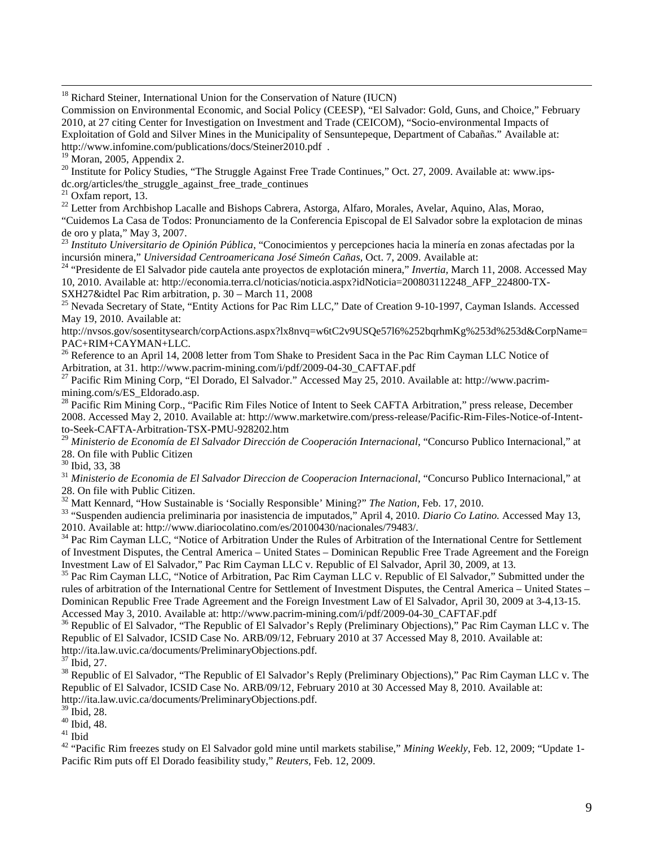<sup>18</sup> Richard Steiner, International Union for the Conservation of Nature (IUCN)

Commission on Environmental Economic, and Social Policy (CEESP), "El Salvador: Gold, Guns, and Choice," February 2010, at 27 citing Center for Investigation on Investment and Trade (CEICOM), "Socio-environmental Impacts of Exploitation of Gold and Silver Mines in the Municipality of Sensuntepeque, Department of Cabañas." Available at: http://www.infomine.com/publications/docs/Steiner2010.pdf .

 $19$  Moran, 2005, Appendix 2.

<sup>20</sup> Institute for Policy Studies, "The Struggle Against Free Trade Continues," Oct. 27, 2009. Available at: www.ipsdc.org/articles/the\_struggle\_against\_free\_trade\_continues

 $21$  Oxfam report, 13.

<sup>22</sup> Letter from Archbishop Lacalle and Bishops Cabrera, Astorga, Alfaro, Morales, Avelar, Aquino, Alas, Morao, "Cuidemos La Casa de Todos: Pronunciamento de la Conferencia Episcopal de El Salvador sobre la explotacion de minas de oro y plata," May 3, 2007.

<sup>23</sup> *Instituto Universitario de Opinión Pública*, "Conocimientos y percepciones hacia la minería en zonas afectadas por la incursión minera," *Universidad Centroamericana José Simeón Cañas*, Oct. 7, 2009. Available at:

<sup>24</sup> "Presidente de El Salvador pide cautela ante proyectos de explotación minera," *Invertia,* March 11, 2008. Accessed May 10, 2010. Available at: http://economia.terra.cl/noticias/noticia.aspx?idNoticia=200803112248\_AFP\_224800-TX-SXH27&idtel Pac Rim arbitration, p. 30 – March 11, 2008

<sup>25</sup> Nevada Secretary of State, "Entity Actions for Pac Rim LLC," Date of Creation 9-10-1997, Cayman Islands. Accessed May 19, 2010. Available at:

http://nvsos.gov/sosentitysearch/corpActions.aspx?lx8nvq=w6tC2v9USQe57l6%252bqrhmKg%253d%253d&CorpName= PAC+RIM+CAYMAN+LLC.

<sup>26</sup> Reference to an April 14, 2008 letter from Tom Shake to President Saca in the Pac Rim Cayman LLC Notice of Arbitration, at 31. http://www.pacrim-mining.com/i/pdf/2009-04-30\_CAFTAF.pdf

<sup>27</sup> Pacific Rim Mining Corp, "El Dorado, El Salvador." Accessed May 25, 2010. Available at: http://www.pacrimmining.com/s/ES\_Eldorado.asp.

<sup>28</sup> Pacific Rim Mining Corp., "Pacific Rim Files Notice of Intent to Seek CAFTA Arbitration," press release, December 2008. Accessed May 2, 2010. Available at: http://www.marketwire.com/press-release/Pacific-Rim-Files-Notice-of-Intentto-Seek-CAFTA-Arbitration-TSX-PMU-928202.htm

<sup>29</sup> Ministerio de Economía de El Salvador Dirección de Cooperación Internacional, "Concurso Publico Internacional," at 28. On file with Public Citizen

<sup>30</sup> Ibid, 33, 38

<sup>31</sup> *Ministerio de Economia de El Salvador Direccion de Cooperacion Internacional*, "Concurso Publico Internacional," at 28. On file with Public Citizen.

<sup>32</sup> Matt Kennard, "How Sustainable is 'Socially Responsible' Mining?" *The Nation,* Feb. 17, 2010.

<sup>33</sup> "Suspenden audiencia preliminaria por inasistencia de imputados," April 4, 2010. *Diario Co Latino.* Accessed May 13, 2010. Available at: http://www.diariocolatino.com/es/20100430/nacionales/79483/.

<sup>34</sup> Pac Rim Cayman LLC, "Notice of Arbitration Under the Rules of Arbitration of the International Centre for Settlement of Investment Disputes, the Central America – United States – Dominican Republic Free Trade Agreement and the Foreign Investment Law of El Salvador," Pac Rim Cayman LLC v. Republic of El Salvador, April 30, 2009, at 13.

<sup>35</sup> Pac Rim Cayman LLC, "Notice of Arbitration, Pac Rim Cayman LLC v. Republic of El Salvador," Submitted under the rules of arbitration of the International Centre for Settlement of Investment Disputes, the Central America – United States – Dominican Republic Free Trade Agreement and the Foreign Investment Law of El Salvador, April 30, 2009 at 3-4,13-15. Accessed May 3, 2010. Available at: http://www.pacrim-mining.com/i/pdf/2009-04-30\_CAFTAF.pdf

<sup>36</sup> Republic of El Salvador, "The Republic of El Salvador's Reply (Preliminary Objections)," Pac Rim Cayman LLC v. The Republic of El Salvador, ICSID Case No. ARB/09/12, February 2010 at 37 Accessed May 8, 2010. Available at: http://ita.law.uvic.ca/documents/PreliminaryObjections.pdf.

<sup>37</sup> Ibid, 27.

<sup>38</sup> Republic of El Salvador, "The Republic of El Salvador's Reply (Preliminary Objections)," Pac Rim Cayman LLC v. The Republic of El Salvador, ICSID Case No. ARB/09/12, February 2010 at 30 Accessed May 8, 2010. Available at: http://ita.law.uvic.ca/documents/PreliminaryObjections.pdf.

 $39$  Ibid, 28.

 $40$  Ibid, 48.

 $^{\rm 41}$  Ibid

<sup>42</sup> "Pacific Rim freezes study on El Salvador gold mine until markets stabilise," *Mining Weekly*, Feb. 12, 2009; "Update 1- Pacific Rim puts off El Dorado feasibility study," *Reuters,* Feb. 12, 2009.